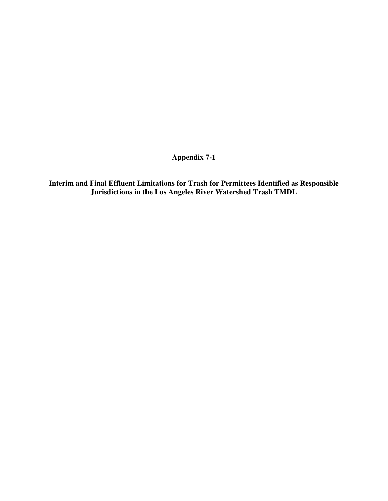**Appendix 7-1** 

**Interim and Final Effluent Limitations for Trash for Permittees Identified as Responsible Jurisdictions in the Los Angeles River Watershed Trash TMDL**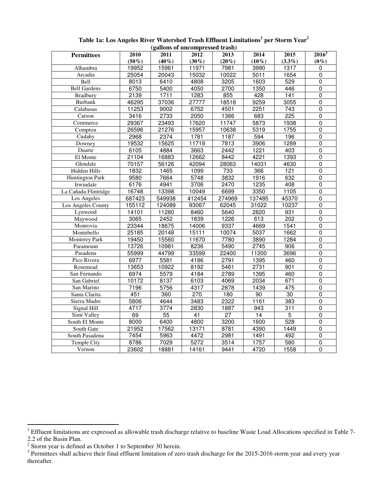| (ganons of uncomplessed trash) |          |                 |                  |                 |                 |                  |                |  |  |  |  |  |
|--------------------------------|----------|-----------------|------------------|-----------------|-----------------|------------------|----------------|--|--|--|--|--|
| <b>Permittees</b>              | 2010     | 2011            | 2012             | 2013            | 2014            | 2015             | $2016^3$       |  |  |  |  |  |
|                                | $(50\%)$ | $(40\%)$        | $(30\%)$         | $(20\%)$        | $(10\%)$        | $(3.3\%)$        | $(0\%)$        |  |  |  |  |  |
| Alhambra                       | 19952    | 15961           | 11971            | 7981            | 3990            | 1317             | 0              |  |  |  |  |  |
| Arcadia                        | 25054    | 20043           | 15032            | 10022           | 5011            | 1654             | $\overline{0}$ |  |  |  |  |  |
| Bell                           | 8013     | 6410            | 4808             | 3205            | 1603            | 529              | $\mathbf 0$    |  |  |  |  |  |
| <b>Bell Gardens</b>            | 6750     | 5400            | 4050             | 2700            | 1350            | 446              | $\overline{0}$ |  |  |  |  |  |
| <b>Bradbury</b>                | 2139     | 1711            | 1283             | 855             | 428             | 141              | $\overline{0}$ |  |  |  |  |  |
| <b>Burbank</b>                 | 46295    | 37036           | 27777            | 18518           | 9259            | 3055             | $\mathbf 0$    |  |  |  |  |  |
| Calabasas                      | 11253    | 9002            | 6752             | 4501            | 2251            | $\overline{743}$ | 0              |  |  |  |  |  |
| $\overline{C}$ arson           | 3416     | 2733            | 2050             | 1366            | 683             | $\overline{225}$ | $\overline{0}$ |  |  |  |  |  |
| Commerce                       | 29367    | 23493           | 17620            | 11747           | 5873            | 1938             | $\mathbf 0$    |  |  |  |  |  |
| Compton                        | 26596    | 21276           | 15957            | 10638           | 5319            | 1755             | 0              |  |  |  |  |  |
| Cudahy                         | 2968     | 2374            | 1781             | 1187            | 594             | 196              | $\overline{0}$ |  |  |  |  |  |
| Downey                         | 19532    | 15625           | 11719            | 7813            | 3906            | 1289             | $\overline{0}$ |  |  |  |  |  |
| Duarte                         | 6105     | 4884            | 3663             | 2442            | 1221            | 403              | $\overline{0}$ |  |  |  |  |  |
| El Monte                       | 21104    | 16883           | 12662            | 8442            | 4221            | 1393             | $\overline{0}$ |  |  |  |  |  |
| Glendale                       | 70157    | 56126           | 42094            | 28063           | 14031           | 4630             | $\overline{0}$ |  |  |  |  |  |
| Hidden Hills                   | 1832     | 1465            | 1099             | 733             | 366             | 121              | $\mathbf 0$    |  |  |  |  |  |
| <b>Huntington Park</b>         | 9580     | 7664            | 5748             | 3832            | 1916            | 632              | 0              |  |  |  |  |  |
| Irwindale                      | 6176     | 4941            | 3706             | 2470            | 1235            | 408              | $\overline{0}$ |  |  |  |  |  |
| La Cañada Flintridge           | 16748    | 13398           | 10049            | 6699            | 3350            | 1105             | 0              |  |  |  |  |  |
| Los Angeles                    | 687423   | 549938          | 412454           | 274969          | 137485          | 45370            | $\overline{0}$ |  |  |  |  |  |
| Los Angeles County             | 155112   | 124089          | 93067            | 62045           | 31022           | 10237            | $\mathbf 0$    |  |  |  |  |  |
| Lynwood                        | 14101    | 11280           | 8460             | 5640            | 2820            | 931              | $\mathbf 0$    |  |  |  |  |  |
| Maywood                        | 3065     | 2452            | 1839             | 1226            | 613             | 202              | $\mathsf 0$    |  |  |  |  |  |
| Monrovia                       | 23344    | 18675           | 14006            | 9337            | 4669            | 1541             | $\overline{0}$ |  |  |  |  |  |
| Montebello                     | 25185    | 20148           | 15111            | 10074           | 5037            | 1662             | $\pmb{0}$      |  |  |  |  |  |
| <b>Monterey Park</b>           | 19450    | 15560           | 11670            | 7780            | 3890            | 1284             | $\overline{0}$ |  |  |  |  |  |
| Paramount                      | 13726    | 10981           | 8236             | 5490            | 2745            | 906              | $\overline{0}$ |  |  |  |  |  |
| Pasadena                       | 55999    | 44799           | 33599            | 22400           | 11200           | 3696             | $\overline{0}$ |  |  |  |  |  |
| Pico Rivera                    | 6977     | 5581            | 4186             | 2791            | 1395            | 460              | $\mathbf 0$    |  |  |  |  |  |
| Rosemead                       | 13653    | 10922           | 8192             | 5461            | 2731            | 901              | 0              |  |  |  |  |  |
| San Fernando                   | 6974     | 5579            | 4184             | 2789            | 1395            | 460              | $\mathbf 0$    |  |  |  |  |  |
| San Gabriel                    | 10172    | 8137            | 6103             | 4069            | 2034            | 671              | $\mathbf 0$    |  |  |  |  |  |
| San Marino                     | 7196     | 5756            | 4317             | 2878            | 1439            | 475              | $\mathbf 0$    |  |  |  |  |  |
| Santa Clarita                  | 451      | 360             | $\overline{270}$ | 180             | 90              | 30               | $\overline{0}$ |  |  |  |  |  |
| Sierra Madre                   | 5806     | 4644            | 3483             | 2322            | 1161            | 383              | 0              |  |  |  |  |  |
| Signal Hill                    | 4717     | 3774            | 2830             | 1887            | 943             | $\overline{311}$ | $\overline{0}$ |  |  |  |  |  |
| Simi Valley                    | 69       | $\overline{55}$ | $\overline{41}$  | $\overline{27}$ | $\overline{14}$ | $\overline{5}$   | $\overline{0}$ |  |  |  |  |  |
| South El Monte                 | 8000     | 6400            | 4800             | 3200            | 1600            | 528              | $\mathbf 0$    |  |  |  |  |  |
| South Gate                     | 21952    | 17562           | 13171            | 8781            | 4390            | 1449             | $\overline{0}$ |  |  |  |  |  |
| South Pasadena                 | 7454     | 5963            | 4472             | 2981            | 1491            | 492              | $\overline{0}$ |  |  |  |  |  |
| Temple City                    | 8786     | 7029            | 5272             | 3514            | 1757            | 580              | $\mathbf 0$    |  |  |  |  |  |
| Vernon                         | 23602    | 18881           | 14161            | 9441            | 4720            | 1558             | $\overline{0}$ |  |  |  |  |  |

**Table 1a: Los Angeles River Watershed Trash Effluent Limitations<sup>1</sup> per Storm Year<sup>2</sup> (gallons of uncompressed trash)**

<sup>1&</sup>lt;br><sup>1</sup> Effluent limitations are expressed as allowable trash discharge relative to baseline Waste Load Allocations specified in Table 7-

<sup>2.2</sup> of the Basin Plan.<br><sup>2</sup> Storm year is defined as October 1 to September 30 herein.<br><sup>3</sup> Permittees shall achieve their final effluent limitation of zero trash discharge for the 2015-2016 storm year and every year thereafter.